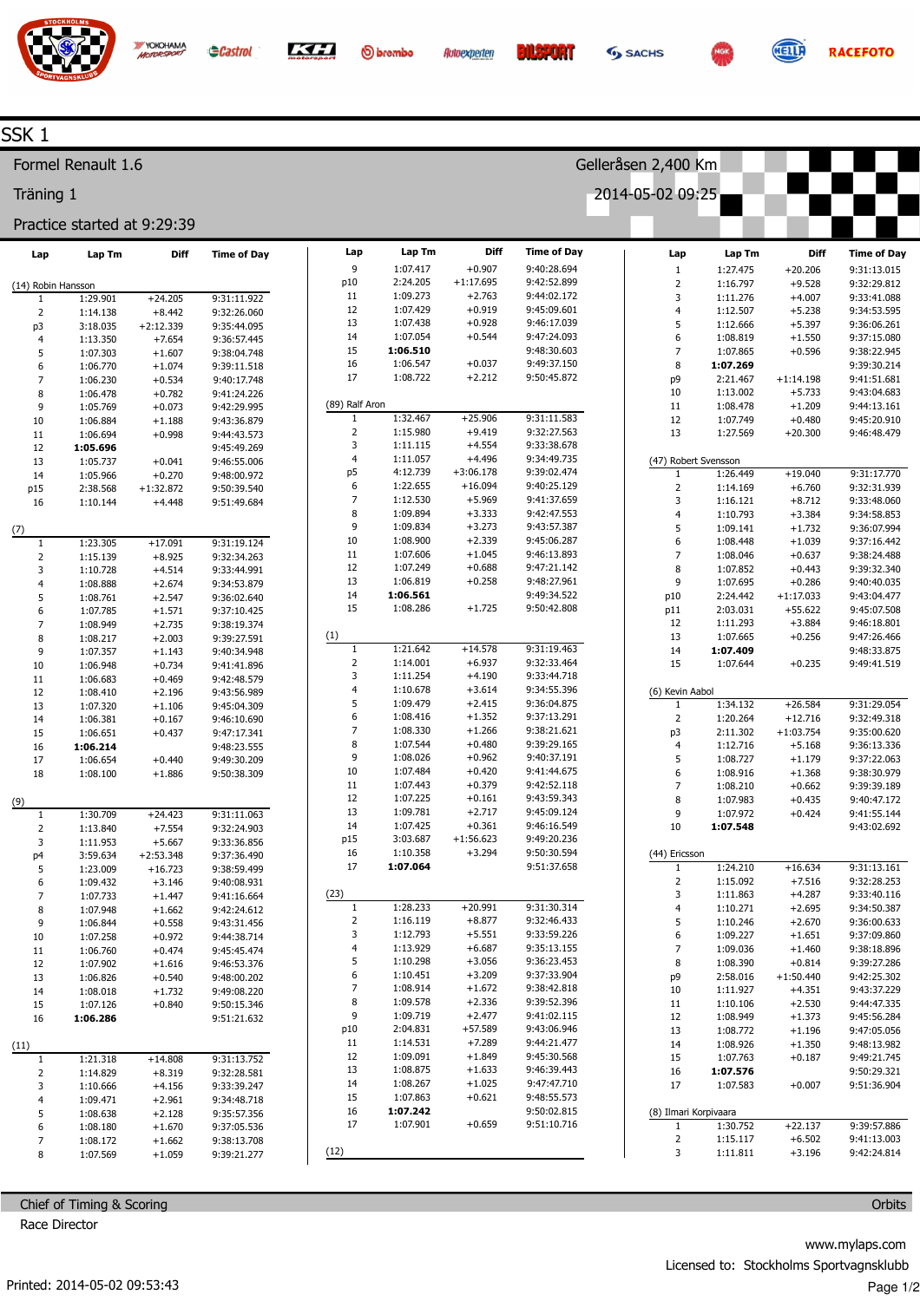

**O**brembo

Lap

Lap Tm

1:07.417  $2:24.205$ 

1:09.273

1:07.429

1:07.438

1:07.054

1:06.510

1:06.547

1:08.722

1:32.467

1:15.980

 $1:11.115$ 

1:11.057

4:12.739

1:22.655 1:12.530

1:09.894

1:09.834

1:08.900

1:07.606

1:07.249

1:06.819

1:06.561

1:08.286

1:21.642

 $1:14.001$ 

1:11.254

1:10.678

1:09.479 1:08.416

1:08.330

1:07.544

1:08.026

1:07.484 1:07.443

1:07.225

1:09.781

1:07.425 3:03.687

1:10.358

1:07.064

1:28.233

1:16.119

1:12.793 1:13.929

1:10.298

1:10.451

1:08.914

1:09.578

1:09.719

2:04.831

1:14.531

1:09.091

1:08.875

1:08.267

1:07.863

1:07.242 1:07.901





**RACEFOTO** 

## SSK<sub>1</sub>

Formel Renault 1.6

Träning 1

## Practice started at 9:29:39

YOKOHAMA

| Lap                | Lap Tm               | Diff                 | Time of Day                | Lap            |
|--------------------|----------------------|----------------------|----------------------------|----------------|
|                    |                      |                      |                            | 9              |
| (14) Robin Hansson |                      |                      |                            | p10<br>11      |
| 1                  | 1:29.901             | $+24.205$            | 9:31:11.922                | 12             |
| 2                  | 1:14.138             | $+8.442$             | 9:32:26.060                | 13             |
| p3                 | 3:18.035             | $+2:12.339$          | 9:35:44.095                | 14             |
| 4                  | 1:13.350             | $+7.654$             | 9:36:57.445                | 15             |
| 5<br>6             | 1:07.303             | $+1.607$             | 9:38:04.748                | 16             |
| 7                  | 1:06.770<br>1:06.230 | $+1.074$<br>$+0.534$ | 9:39:11.518<br>9:40:17.748 | 17             |
| 8                  | 1:06.478             | $+0.782$             | 9:41:24.226                |                |
| 9                  | 1:05.769             | $+0.073$             | 9:42:29.995                | (89) Ralf Aron |
| 10                 | 1:06.884             | $+1.188$             | 9:43:36.879                | 1              |
| 11                 | 1:06.694             | $+0.998$             | 9:44:43.573                | 2              |
| 12                 | 1:05.696             |                      | 9:45:49.269                | 3              |
| 13                 | 1:05.737             | $+0.041$             | 9:46:55.006                | $\overline{4}$ |
| 14                 | 1:05.966             | $+0.270$             | 9:48:00.972                | р5             |
| p15                | 2:38.568             | +1:32.872            | 9:50:39.540                | 6              |
| 16                 | 1:10.144             | $+4.448$             | 9:51:49.684                | 7              |
|                    |                      |                      |                            | 8              |
| (7)                |                      |                      |                            | 9              |
| 1                  | 1:23.305             | $+17.091$            | 9:31:19.124                | 10             |
| 2                  | 1:15.139             | $+8.925$             | 9:32:34.263                | 11             |
| 3                  | 1:10.728             | $+4.514$             | 9:33:44.991                | 12             |
| 4                  | 1:08.888             | $+2.674$             | 9:34:53.879                | 13<br>14       |
| 5                  | 1:08.761             | $+2.547$             | 9:36:02.640                | 15             |
| 6                  | 1:07.785             | $+1.571$<br>$+2.735$ | 9:37:10.425                |                |
| 7<br>8             | 1:08.949<br>1:08.217 | $+2.003$             | 9:38:19.374<br>9:39:27.591 | (1)            |
| 9                  | 1:07.357             | $+1.143$             | 9:40:34.948                | 1              |
| 10                 | 1:06.948             | $+0.734$             | 9:41:41.896                | 2              |
| 11                 | 1:06.683             | $+0.469$             | 9:42:48.579                | 3              |
| 12                 | 1:08.410             | $+2.196$             | 9:43:56.989                | 4              |
| 13                 | 1:07.320             | $+1.106$             | 9:45:04.309                | 5              |
| 14                 | 1:06.381             | $+0.167$             | 9:46:10.690                | 6              |
| 15                 | 1:06.651             | $+0.437$             | 9:47:17.341                | 7              |
| 16                 | 1:06.214             |                      | 9:48:23.555                | 8              |
| 17                 | 1:06.654             | $+0.440$             | 9:49:30.209                | 9              |
| 18                 | 1:08.100             | $+1.886$             | 9:50:38.309                | 10             |
|                    |                      |                      |                            | 11<br>12       |
| (9)<br>1           | 1:30.709             | $+24.423$            | 9:31:11.063                | 13             |
| 2                  | 1:13.840             | +7.554               | 9:32:24.903                | 14             |
| 3                  | 1:11.953             | $+5.667$             | 9:33:36.856                | p15            |
| p4                 | 3:59.634             | $+2:53.348$          | 9:37:36.490                | 16             |
| 5                  | 1:23.009             | $+16.723$            | 9:38:59.499                | 17             |
| 6                  | 1:09.432             | $+3.146$             | 9:40:08.931                |                |
| 7                  | 1:07.733             | $+1.447$             | 9:41:16.664                | (23)           |
| 8                  | 1:07.948             | $+1.662$             | 9:42:24.612                | 1              |
| 9                  | 1:06.844             | $+0.558$             | 9:43:31.456                | 2              |
| 10                 | 1:07.258             | $+0.972$             | 9:44:38.714                | 3              |
| 11                 | 1:06.760             | +0.474               | 9:45:45.474                | 4              |
| 12                 | 1:07.902             | $+1.616$             | 9:46:53.376                | 5              |
| 13                 | 1:06.826             | $+0.540$             | 9:48:00.202                | 6              |
| 14                 | 1:08.018             | $+1.732$             | 9:49:08.220                | 7<br>8         |
| 15                 | 1:07.126             | $+0.840$             | 9:50:15.346                | 9              |
| 16                 | 1:06.286             |                      | 9:51:21.632                | p10            |
| (11)               |                      |                      |                            | 11             |
| 1                  | 1:21.318             | +14.808              | 9:31:13.752                | 12             |
| 2                  | 1:14.829             | $+8.319$             | 9:32:28.581                | 13             |
| 3                  | 1:10.666             | $+4.156$             | 9:33:39.247                | 14             |
| 4                  | 1:09.471             | $+2.961$             | 9:34:48.718                | 15             |
| 5                  | 1:08.638             | $+2.128$             | 9:35:57.356                | 16             |
| 6                  | 1:08.180             | $+1.670$             | 9:37:05.536                | 17             |
| 7                  | 1:08.172             | $+1.662$             | 9:38:13.708                |                |
| 8                  | 1:07.569             | $+1.059$             | 9:39:21.277                | (12)           |

Chief of Timing & Scoring Race Director

| Gelleråsen 2,400 Km   |                            |                       |                      |                      |                            |  |  |  |
|-----------------------|----------------------------|-----------------------|----------------------|----------------------|----------------------------|--|--|--|
| 2014-05-02 09:25      |                            |                       |                      |                      |                            |  |  |  |
|                       |                            |                       |                      |                      |                            |  |  |  |
|                       |                            |                       |                      |                      |                            |  |  |  |
| <b>Diff</b>           | <b>Time of Day</b>         | Lap                   | Lap Tm               | <b>Diff</b>          | <b>Time of Day</b>         |  |  |  |
| $+0.907$              | 9:40:28.694                | 1                     | 1:27.475             | $+20.206$            | 9:31:13.015                |  |  |  |
| $+1:17.695$           | 9:42:52.899                | $\overline{2}$        | 1:16.797             | $+9.528$             | 9:32:29.812                |  |  |  |
| $+2.763$              | 9:44:02.172                | 3                     | 1:11.276             | $+4.007$             | 9:33:41.088                |  |  |  |
| $+0.919$              | 9:45:09.601<br>9:46:17.039 | 4                     | 1:12.507             | $+5.238$             | 9:34:53.595                |  |  |  |
| $+0.928$<br>$+0.544$  | 9:47:24.093                | 5<br>6                | 1:12.666<br>1:08.819 | $+5.397$<br>$+1.550$ | 9:36:06.261<br>9:37:15.080 |  |  |  |
|                       | 9:48:30.603                | 7                     | 1:07.865             | $+0.596$             | 9:38:22.945                |  |  |  |
| $+0.037$              | 9:49:37.150                | 8                     | 1:07.269             |                      | 9:39:30.214                |  |  |  |
| $+2.212$              | 9:50:45.872                | p9                    | 2:21.467             | $+1:14.198$          | 9:41:51.681                |  |  |  |
|                       |                            | 10                    | 1:13.002             | $+5.733$             | 9:43:04.683                |  |  |  |
|                       |                            | 11                    | 1:08.478             | $+1.209$             | 9:44:13.161                |  |  |  |
| $+25.906$             | 9:31:11.583<br>9:32:27.563 | 12                    | 1:07.749             | $+0.480$             | 9:45:20.910                |  |  |  |
| $+9.419$<br>$+4.554$  | 9:33:38.678                | 13                    | 1:27.569             | $+20.300$            | 9:46:48.479                |  |  |  |
| $+4.496$              | 9:34:49.735                | (47) Robert Svensson  |                      |                      |                            |  |  |  |
| $+3:06.178$           | 9:39:02.474                | 1                     | 1:26.449             | $+19.040$            | 9:31:17.770                |  |  |  |
| $+16.094$             | 9:40:25.129                | $\overline{2}$        | 1:14.169             | $+6.760$             | 9:32:31.939                |  |  |  |
| $+5.969$              | 9:41:37.659                | 3                     | 1:16.121             | $+8.712$             | 9:33:48.060                |  |  |  |
| $+3.333$              | 9:42:47.553                | 4                     | 1:10.793             | $+3.384$             | 9:34:58.853                |  |  |  |
| $+3.273$<br>$+2.339$  | 9:43:57.387                | 5                     | 1:09.141             | $+1.732$             | 9:36:07.994                |  |  |  |
| $+1.045$              | 9:45:06.287<br>9:46:13.893 | 6<br>7                | 1:08.448<br>1:08.046 | $+1.039$<br>$+0.637$ | 9:37:16.442<br>9:38:24.488 |  |  |  |
| $+0.688$              | 9:47:21.142                | 8                     | 1:07.852             | $+0.443$             | 9:39:32.340                |  |  |  |
| $+0.258$              | 9:48:27.961                | 9                     | 1:07.695             | $+0.286$             | 9:40:40.035                |  |  |  |
|                       | 9:49:34.522                | p10                   | 2:24.442             | $+1:17.033$          | 9:43:04.477                |  |  |  |
| $+1.725$              | 9:50:42.808                | p11                   | 2:03.031             | $+55.622$            | 9:45:07.508                |  |  |  |
|                       |                            | 12                    | 1:11.293             | $+3.884$             | 9:46:18.801                |  |  |  |
|                       |                            | 13                    | 1:07.665             | $+0.256$             | 9:47:26.466                |  |  |  |
| $+14.578$<br>$+6.937$ | 9:31:19.463<br>9:32:33.464 | 14<br>15              | 1:07.409<br>1:07.644 |                      | 9:48:33.875<br>9:49:41.519 |  |  |  |
| $+4.190$              | 9:33:44.718                |                       |                      | $+0.235$             |                            |  |  |  |
| $+3.614$              | 9:34:55.396                | (6) Kevin Aabol       |                      |                      |                            |  |  |  |
| $+2.415$              | 9:36:04.875                | 1                     | 1:34.132             | $+26.584$            | 9:31:29.054                |  |  |  |
| $+1.352$              | 9:37:13.291                | $\overline{2}$        | 1:20.264             | $+12.716$            | 9:32:49.318                |  |  |  |
| $+1.266$              | 9:38:21.621                | p3                    | 2:11.302             | $+1:03.754$          | 9:35:00.620                |  |  |  |
| $+0.480$<br>$+0.962$  | 9:39:29.165<br>9:40:37.191 | 4                     | 1:12.716             | $+5.168$             | 9:36:13.336                |  |  |  |
| $+0.420$              | 9:41:44.675                | 5<br>6                | 1:08.727<br>1:08.916 | $+1.179$<br>$+1.368$ | 9:37:22.063<br>9:38:30.979 |  |  |  |
| $+0.379$              | 9:42:52.118                | $\overline{7}$        | 1:08.210             | $+0.662$             | 9:39:39.189                |  |  |  |
| $+0.161$              | 9:43:59.343                | 8                     | 1:07.983             | $+0.435$             | 9:40:47.172                |  |  |  |
| $+2.717$              | 9:45:09.124                | 9                     | 1:07.972             | $+0.424$             | 9:41:55.144                |  |  |  |
| $+0.361$              | 9:46:16.549                | 10                    | 1:07.548             |                      | 9:43:02.692                |  |  |  |
| $+1:56.623$           | 9:49:20.236                |                       |                      |                      |                            |  |  |  |
| +3.294                | 9:50:30.594<br>9:51:37.658 | (44) Ericsson<br>1    | 1:24.210             | $+16.634$            | 9:31:13.161                |  |  |  |
|                       |                            | 2                     | 1:15.092             | $+7.516$             | 9:32:28.253                |  |  |  |
|                       |                            | 3                     | 1:11.863             | $+4.287$             | 9:33:40.116                |  |  |  |
| +20.991               | 9:31:30.314                | 4                     | 1:10.271             | $+2.695$             | 9:34:50.387                |  |  |  |
| $+8.877$              | 9:32:46.433                | 5                     | 1:10.246             | $+2.670$             | 9:36:00.633                |  |  |  |
| $+5.551$              | 9:33:59.226<br>9:35:13.155 | 6                     | 1:09.227             | $+1.651$             | 9:37:09.860                |  |  |  |
| $+6.687$<br>$+3.056$  | 9:36:23.453                | 7<br>8                | 1:09.036<br>1:08.390 | $+1.460$<br>$+0.814$ | 9:38:18.896<br>9:39:27.286 |  |  |  |
| $+3.209$              | 9:37:33.904                | р9                    | 2:58.016             | $+1:50.440$          | 9:42:25.302                |  |  |  |
| $+1.672$              | 9:38:42.818                | 10                    | 1:11.927             | $+4.351$             | 9:43:37.229                |  |  |  |
| $+2.336$              | 9:39:52.396                | 11                    | 1:10.106             | $+2.530$             | 9:44:47.335                |  |  |  |
| $+2.477$              | 9:41:02.115                | 12                    | 1:08.949             | +1.373               | 9:45:56.284                |  |  |  |
| +57.589               | 9:43:06.946                | 13                    | 1:08.772             | $+1.196$             | 9:47:05.056                |  |  |  |
| $+7.289$<br>$+1.849$  | 9:44:21.477                | 14                    | 1:08.926             | $+1.350$             | 9:48:13.982                |  |  |  |
|                       |                            | 15                    | 1:07.763             | $+0.187$             | 9:49:21.745                |  |  |  |
|                       | 9:45:30.568                |                       |                      |                      |                            |  |  |  |
| $+1.633$<br>$+1.025$  | 9:46:39.443<br>9:47:47.710 | 16<br>17              | 1:07.576             |                      | 9:50:29.321<br>9:51:36.904 |  |  |  |
| $+0.621$              | 9:48:55.573                |                       | 1:07.583             | $+0.007$             |                            |  |  |  |
|                       | 9:50:02.815                | (8) Ilmari Korpivaara |                      |                      |                            |  |  |  |
| $+0.659$              | 9:51:10.716                | 1                     | 1:30.752             | $+22.137$            | 9:39:57.886                |  |  |  |
|                       |                            | 2<br>3                | 1:15.117<br>1:11.811 | $+6.502$<br>$+3.196$ | 9:41:13.003<br>9:42:24.814 |  |  |  |

Orbits